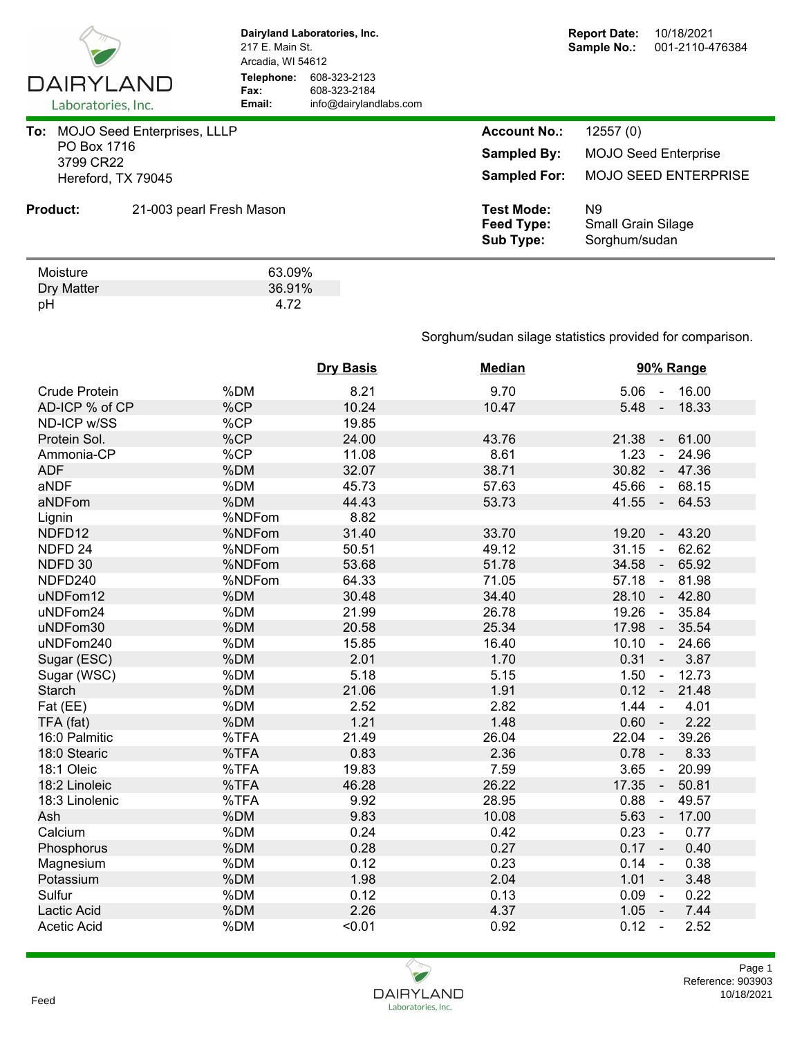

Dry Matter 36.91%<br>pH 4.72 pH 4.72

**Dairyland Laboratories, Inc.** 217 E. Main St. Arcadia, WI 54612 **Telephone:** 608-323-2123 **Fax:** 608-323-2184<br> **Email:** info@dairyland **Email:** info@dairylandlabs.com

| To: MOJO Seed Enterprises, LLLP<br>PO Box 1716<br>3799 CR22 |                    |                          | <b>Account No.:</b>                                 | 12557(0)                                         |
|-------------------------------------------------------------|--------------------|--------------------------|-----------------------------------------------------|--------------------------------------------------|
|                                                             |                    | <b>Sampled By:</b>       | <b>MOJO Seed Enterprise</b>                         |                                                  |
|                                                             | Hereford, TX 79045 |                          | <b>Sampled For:</b>                                 | <b>MOJO SEED ENTERPRISE</b>                      |
|                                                             | <b>Product:</b>    | 21-003 pearl Fresh Mason | <b>Test Mode:</b><br>Feed Type:<br><b>Sub Type:</b> | N9<br><b>Small Grain Silage</b><br>Sorghum/sudan |
|                                                             | Moisture           | 63.09%                   |                                                     |                                                  |

Sorghum/sudan silage statistics provided for comparison.

|                      |        | <b>Dry Basis</b> | <b>Median</b> | 90% Range                                  |
|----------------------|--------|------------------|---------------|--------------------------------------------|
| <b>Crude Protein</b> | %DM    | 8.21             | 9.70          | $5.06 - 16.00$                             |
| AD-ICP % of CP       | %CP    | 10.24            | 10.47         | 5.48<br>18.33<br>$\sim$                    |
| ND-ICP w/SS          | %CP    | 19.85            |               |                                            |
| Protein Sol.         | %CP    | 24.00            | 43.76         | 21.38<br>61.00<br>$\sim$                   |
| Ammonia-CP           | %CP    | 11.08            | 8.61          | 1.23<br>24.96<br>$\omega$                  |
| <b>ADF</b>           | %DM    | 32.07            | 38.71         | 30.82<br>47.36<br>$\sim$                   |
| aNDF                 | %DM    | 45.73            | 57.63         | 45.66<br>68.15<br>$\sim$                   |
| aNDFom               | %DM    | 44.43            | 53.73         | $41.55 -$<br>64.53                         |
| Lignin               | %NDFom | 8.82             |               |                                            |
| NDFD12               | %NDFom | 31.40            | 33.70         | 19.20<br>43.20<br>$\blacksquare$           |
| NDFD <sub>24</sub>   | %NDFom | 50.51            | 49.12         | 31.15<br>62.62<br>$\sim$                   |
| NDFD 30              | %NDFom | 53.68            | 51.78         | 34.58<br>65.92<br>$\overline{\phantom{a}}$ |
| NDFD240              | %NDFom | 64.33            | 71.05         | 57.18<br>81.98<br>$\blacksquare$           |
| uNDFom12             | %DM    | 30.48            | 34.40         | 28.10<br>42.80<br>$\sim$                   |
| uNDFom24             | %DM    | 21.99            | 26.78         | 19.26<br>35.84<br>$\sim$                   |
| uNDFom30             | %DM    | 20.58            | 25.34         | 17.98<br>35.54<br>$\sim$                   |
| uNDFom240            | %DM    | 15.85            | 16.40         | 10.10<br>24.66<br>$\sim$                   |
| Sugar (ESC)          | %DM    | 2.01             | 1.70          | $0.31 -$<br>3.87                           |
| Sugar (WSC)          | %DM    | 5.18             | 5.15          | 12.73<br>1.50<br>$\blacksquare$            |
| <b>Starch</b>        | %DM    | 21.06            | 1.91          | $0.12 -$<br>21.48                          |
| Fat (EE)             | %DM    | 2.52             | 2.82          | 1.44<br>4.01<br>$\blacksquare$             |
| TFA (fat)            | %DM    | 1.21             | 1.48          | 0.60<br>2.22                               |
| 16:0 Palmitic        | %TFA   | 21.49            | 26.04         | 22.04<br>39.26<br>$\blacksquare$           |
| 18:0 Stearic         | %TFA   | 0.83             | 2.36          | 8.33<br>0.78<br>$\blacksquare$             |
| 18:1 Oleic           | %TFA   | 19.83            | 7.59          | 3.65<br>20.99<br>$\sim$                    |
| 18:2 Linoleic        | %TFA   | 46.28            | 26.22         | 17.35<br>50.81<br>$\overline{\phantom{a}}$ |
| 18:3 Linolenic       | %TFA   | 9.92             | 28.95         | 0.88<br>49.57<br>$\blacksquare$            |
| Ash                  | %DM    | 9.83             | 10.08         | 5.63<br>17.00<br>$\sim$                    |
| Calcium              | %DM    | 0.24             | 0.42          | 0.23<br>0.77<br>$\sim$                     |
| Phosphorus           | %DM    | 0.28             | 0.27          | $0.17 -$<br>0.40                           |
| Magnesium            | %DM    | 0.12             | 0.23          | 0.38<br>0.14<br>$\sim$                     |
| Potassium            | %DM    | 1.98             | 2.04          | 1.01<br>3.48<br>$\sim$                     |
| Sulfur               | %DM    | 0.12             | 0.13          | 0.09<br>0.22<br>$\sim$                     |
| Lactic Acid          | %DM    | 2.26             | 4.37          | 1.05<br>7.44<br>$\sim$ $-$                 |
| <b>Acetic Acid</b>   | %DM    | < 0.01           | 0.92          | 0.12<br>2.52<br>$\sim$                     |